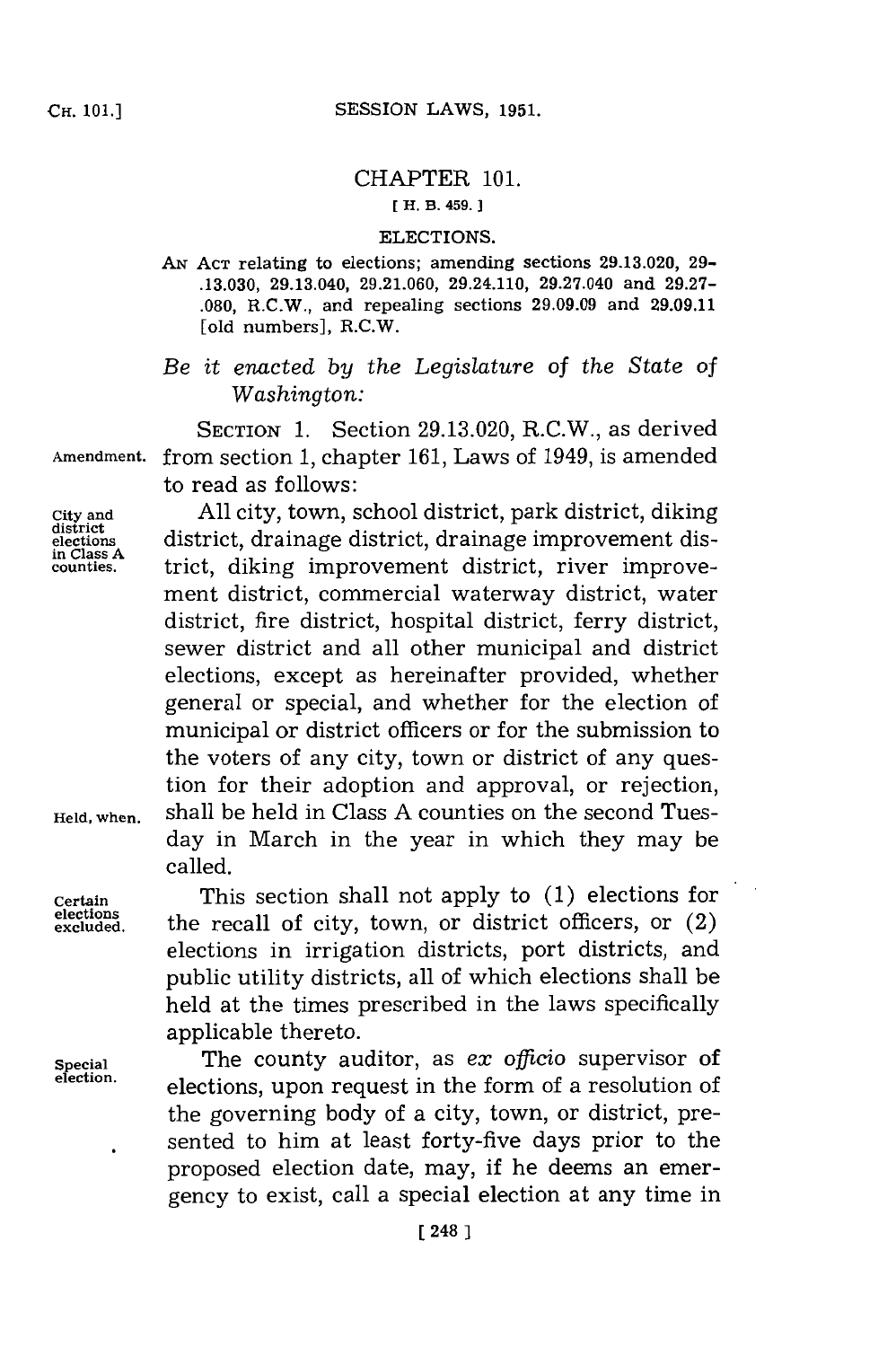## CHAPTER **101.**

## **[ H. B. 459.]1**

## ELECTIONS.

**AN ACT** relating to elections; amending sections **29.13.020, 29- .13.030,** 29.13.040, **29.21.060,** 29.24.110, 29.27.040 and **29.27- .080,** R.C.W., and repealing sections **29.09.09** and **29.09.11** [old numbers], R.C.W.

*Be it enacted by* the *Legislature of the State of Washington:*

SECTION **1.** Section **29.13.020,** R.C.W., as derived **Amendment,** from section **1,** chapter **161,** Laws of 1949, is amended to read as follows:

**in Class A**

**City and All** city, town, school district, park district, diking **district** district, drainage district, drainage improvement dis**counties.** trict, diking improvement district, river improvement district, commercial waterway district, water district, fire district, hospital district, ferry district, sewer district and all other municipal and district elections, except as hereinafter provided, whether general or special, and whether for the election of municipal or district officers or for the submission to the voters of any city, town or district of any question for their adoption and approval, or rejection, **Held, when,** shall be held in Class **A** counties on the second Tuesday in March in the year in which they may be called.

**Certain Certain This section shall not apply to (1) elections for elections** elections the recall of city, town, or district officers, or  $(2)$ elections in irrigation districts, port districts, and public utility districts, all of which elections shall be held at the times prescribed in the laws specifically applicable thereto.

**Special The county auditor, as** *ex officio* supervisor of election. **election,** elections, upon request in the form of a resolution of the governing body of a city, town, or district, presented to him at least forty-five days prior to the proposed election date, may, if he deems an emergency to exist, call a special election at any time in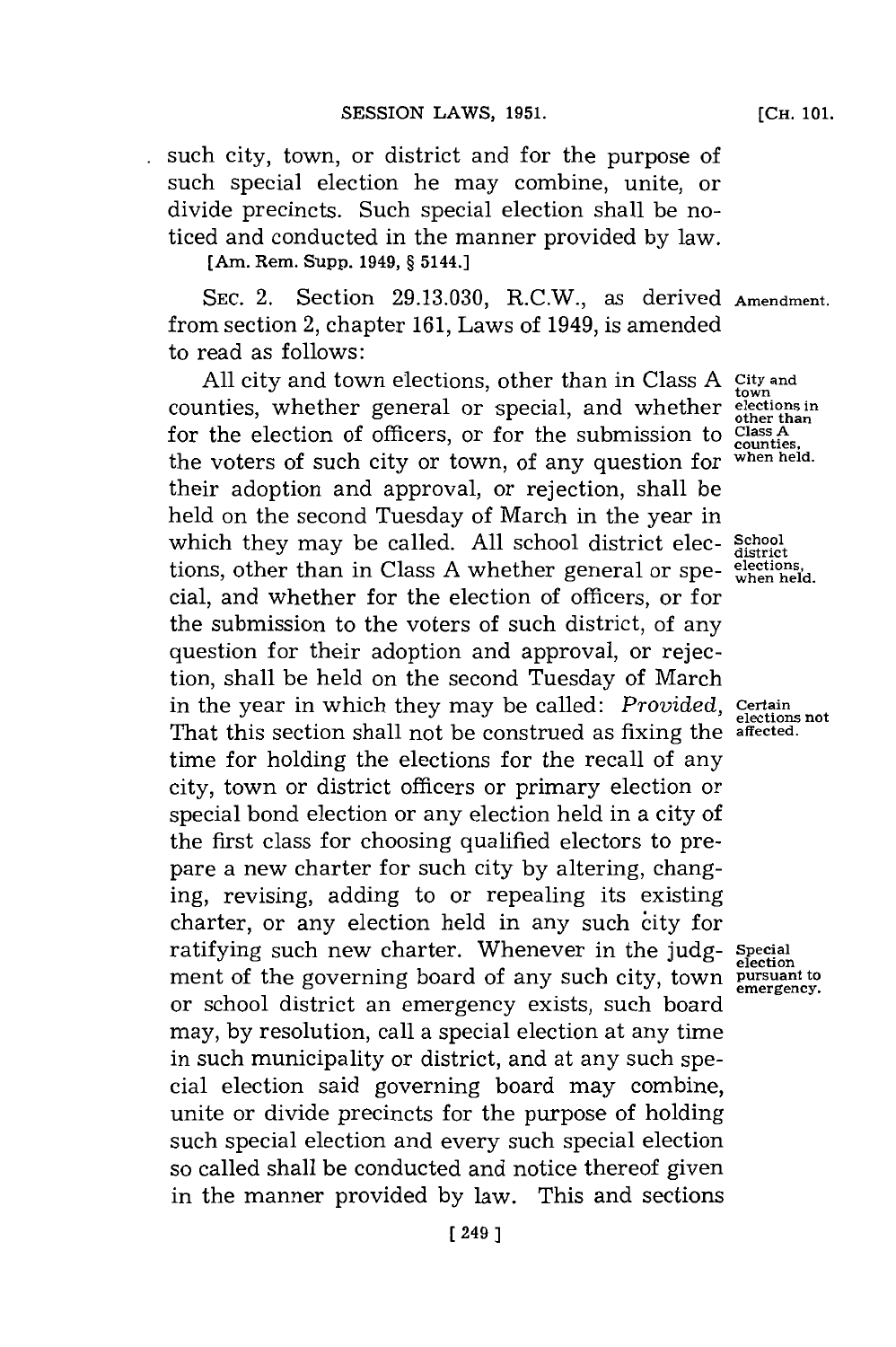such city, town, or district and for the purpose of such special election he may combine, unite, or divide precincts. Such special election shall be noticed and conducted in the manner provided **by** law.

**[Am. Rem. Supp. 1949, § 5144.]**

**SEC.** 2. Section **29.13.030,** R.C.W., as derived **Amendment.** from section 2, chapter **161,** Laws of 1949, is amended to read as follows:

**All** city and town elections, other than in Class **A City and the counties, whether general or special, and whether elections** in for the election of officers, or for the submission to **Class A** the voters of such city or town, of any question for when held. their adoption and approval, or rejection, shall be held on the second Tuesday of March in the year in which they may be called. **All** school district elec- **School district** tions, other than in Class **A** whether general or spe- **elections,** cial, and whether for the election of officers, or for the submission to the voters of such district, of any question for their adoption and approval, or rejection, shall be held on the second Tuesday of March in the year in which they may be called: *Provided*, Certain potentions not That this section shall not be construed as fixing the **affected.** time for holding the elections for the recall of any city, town or district officers or primary election or special bond election or any election held in a city of the first class for choosing qualified electors to prepare a new charter for such city **by** altering, changing, revising, adding to or repealing its existing charter, or any election held in any such city for ratifying such new charter. Whenever in the **judg- Special** ment of the governing board of any such city, town **pursuant to** or school district an emergency exists, such board may, **by** resolution, call a special election at any time in such municipality or district, and at any such special election said governing board may combine, unite or divide precincts for the purpose of holding such special election and every such special election so called shall be conducted and notice thereof given in the manner provided **by** law. This and sections

**[CH. 101.**

**counties,**

**election emergency.**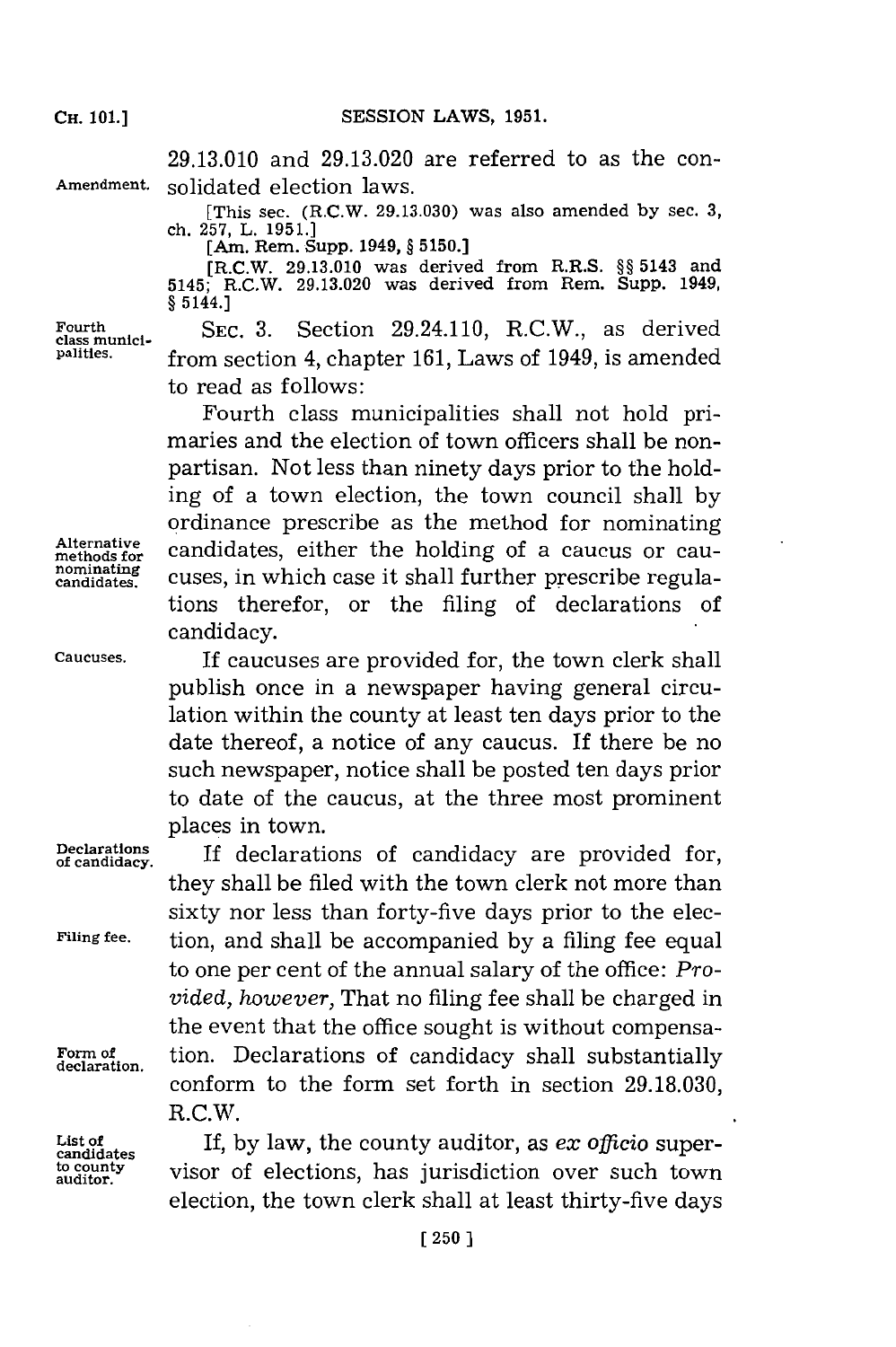**29.13.010** and **29.13.020** are referred to as the con-Amendment. solidated election laws.

> [This **sec.** (R.C.W. **29.13.030)** was also amended **by sec. 3,** ch. **257,** L. **1951.] [Am. Rem. Supp. 1949, § 5150.]**

> **[R.C.W. 29.13.010 was derived from R.R.S. §§ 5143 and 5145; R.C.W. 29.13.020 was derived from Rem. Supp. 1949, § 5144.]**

Fourth<br>class munici-<br>x SEC. 3. Section 29.24.110, R.C.W., as derived **palities.** from section 4, chapter **161,** Laws of 1949, is amended to read as follows:

Fourth class municipalities shall not hold primaries and the election of town officers shall be nonpartisan. Not less than ninety days prior to the holding of a town election, the town council shall **by** ordinance prescribe as the method for nominating Alternative candidates, either the holding of a caucus or cau-<br>methods for a caucus in which case it shall further presentibe negula nominating cuses, in which case it shall further prescribe regulations therefor, or the filing of declarations of candidacy.

**Caucuses. If** caucuses are provided for, the town clerk shall publish once in a newspaper having general circulation within the county at least ten days prior to the date thereof, a notice of any caucus. If there be no such newspaper, notice shall be posted ten days prior to date of the caucus, at the three most prominent places in town.

Declarations **If declarations** of candidacy are provid they shall be filed with the town clerk not more than sixty nor less than forty-five days prior to the elec-**Filing fee.** tion, and shall be accompanied **by** a filing fee equal to one per cent of the annual salary of the office: *Provided, however, That no filing fee shall be charged in* the event that the office sought is without compensa-**Form of.** tion. Declarations of candidacy shall substantially **declaration.** conform to the form set forth in section **29.18.030,** R.C.W.

List of **If, by law, the county auditor, as** *ex* **officio super-**<br>
<u>condidates</u> **example to the interval of elections** has interaction over such town to county visor of elections, has jurisdiction over such town election, the town clerk shall at least thirty-five days

**Alternative**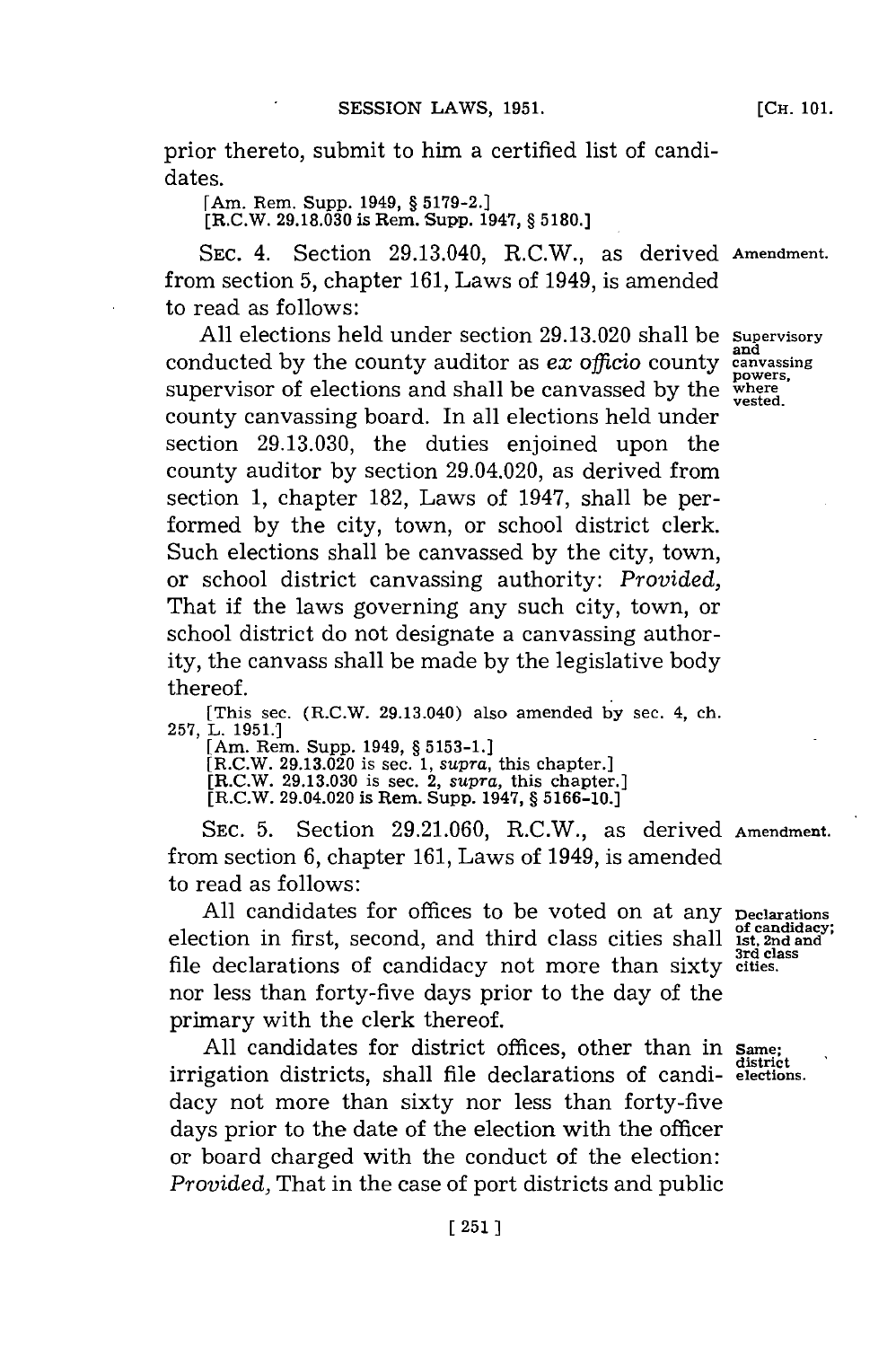prior thereto, submit to him a certified list of candidates.

[Am. Rem. Supp. 1949, **§ 5179-2.]**

[R.C.W. **29.18.030** is Rem. Supp. 1947, **§ 5180.]**

SEC. 4. Section 29.13.040, R.C.W., as derived **Amendment.** from section **5,** chapter **161,** Laws of 1949, is amended to read as follows:

**All** elections held under section **29.13.020** shall be **Supervisory** and conducted **by** the county auditor as *ex officio* county **canvassing** supervisor of elections and shall be canvassed by the where **vested.** county canvassing board. In all elections held under section **29.13.030,** the duties enjoined upon the county auditor **by** section 29.04.020, as derived from section **1,** chapter **182,** Laws of 1947, shall be performed **by** the city, town, or school district clerk. Such elections shall be canvassed **by** the city, town, or school district canvassing authority: *Provided,* That if the laws governing any such city, town, or school district do not designate a canvassing authority, the canvass shall be made **by** the legislative body thereof.

[This sec. (R.C.W. 29.13.040) also amended **by** sec. 4, ch. **257,** L. **1951.1**

[Am. Rem. Supp. 1949, **§ 5153-1.]**

[R.C.W. **29.13.020** is sec. **1,** *supra,* this chapter.]

[R.C.W. **29.13.030** is see. 2, *supra,* this chapter.] [R.C.W. 29.04.020 is Rem. Supp. 1947, **§ 5166-10.]**

**SEC. 5.** Section **29.21.060,** R.C.W., as derived **Amendment.** from section **6,** chapter **161,** Laws of 1949, is amended to read as follows:

All candidates for offices to be voted on at any peclarations of candidacy;<br>ction in first, second, and third class cities shall ist, 2nd and<br><sup>3rd class</sup> election in first, second, and third class cities shall **3rd class** file declarations of candidacy not more than sixty **cities.** nor less than forty-five days prior to the day of the primary with the clerk thereof.

**All** candidates for district offices, other than in Same. **district** irrigation districts, shall file declarations of candi- elections. dacy not more than sixty nor less than forty-five days prior to the date of the election with the officer or board charged with the conduct of the election: *Provided,* That in the case of port districts and public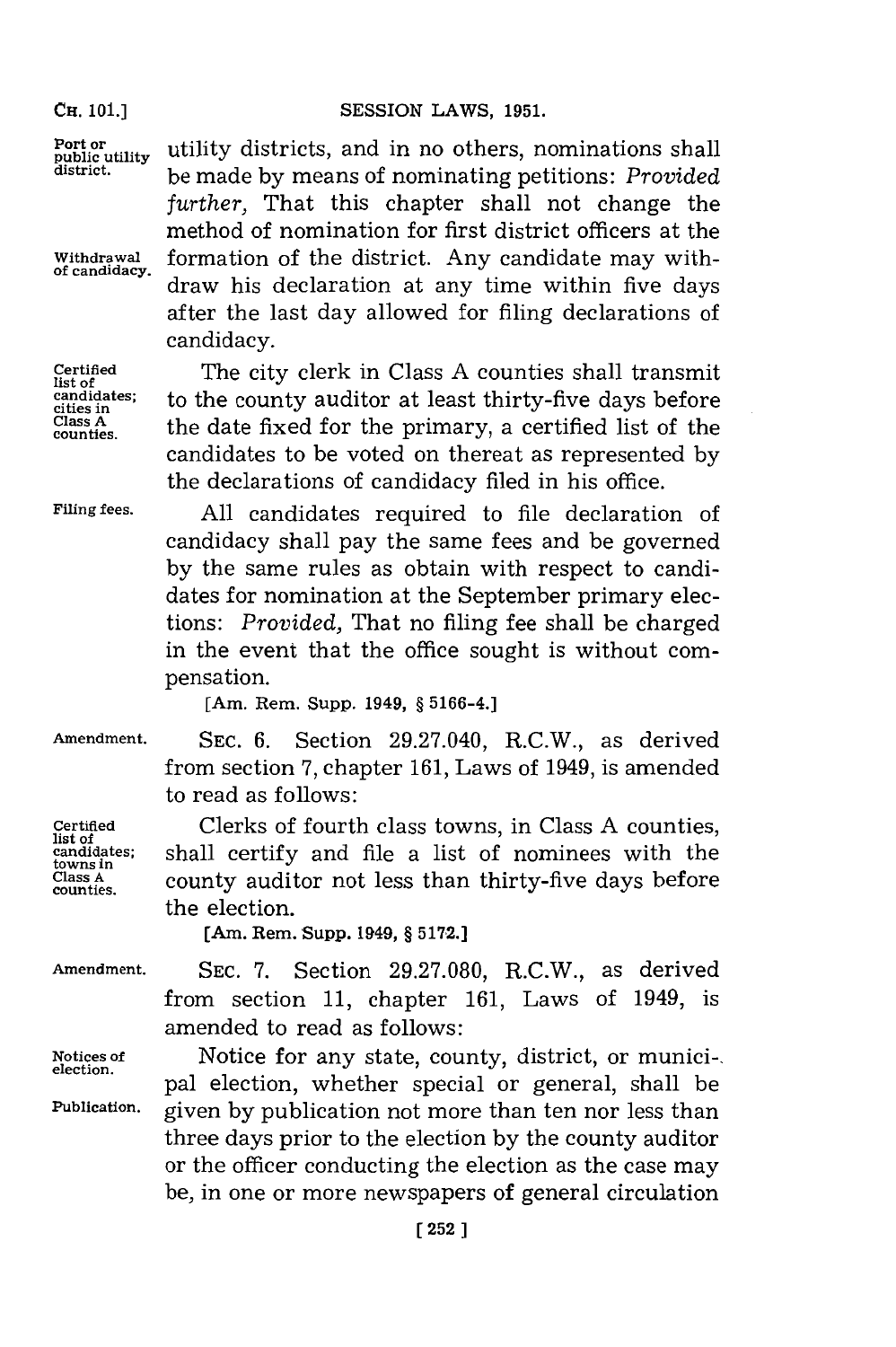## CH. 101.] SESSION LAWS, 1951.

*further,* That this chapter shall not change the method of nomination for first district officers at the

**of candidacy,** draw his declaration at any time within five days after the last day allowed for filing declarations of

**counties.** the date fixed for the primary, a certified list of the candidates to be voted on thereat as represented **by**

Port or public utility districts, and in no others, nominations shall **district,** be made **by** means of nominating petitions: *Provided*

Withdrawal formation of the district. Any candidate may with-

candidacy.

**Certified** The city clerk in Class A counties shall transmit<br> **List of** the county auditor at least thirty-five days before candidates; to the county auditor at least thirty-five days before **Class A**

the declarations of candidacy filed in his office. **Filing fees. All** candidates required to file declaration of candidacy shall pay the same fees and be governed **by** the same rules as obtain with respect to candidates for nomination at the September primary elections: *Provided,* That no filing fee shall be charged in the event that the office sought is without compensation.

**[Am. Rem. Supp. 1949, § 5166-4.]**

**towns in**

**Amendment. SEC. 6.** Section 29.27.040, R.C.W., as derived from section **7,** chapter **161,** Laws of 1949, is amended to read as follows:

Certified Clerks of fourth class towns, in Class A counties,<br>
list of<br>
candidates: shall certify and file a list of nominees with the shall certify and file a list of nominees with the **Class A** county auditor not less than thirty-five days before **counties.** the election.

[Am. Rem. Supp. 1949, § 5172.]

**Amendment. SEC. 7.** Section **29.27.080,** R.C.W., as derived from section **11,** chapter **161,** Laws of 1949, is amended to read as follows:

Notices of **Motice for any state, county, district**, or munici-, election. pal election, whether special or general, shall be **Publication,** given **by** publication not more than ten nor less than three days prior to the election **by** the county auditor or the officer conducting the election as the case may be, in one or more newspapers of general circulation